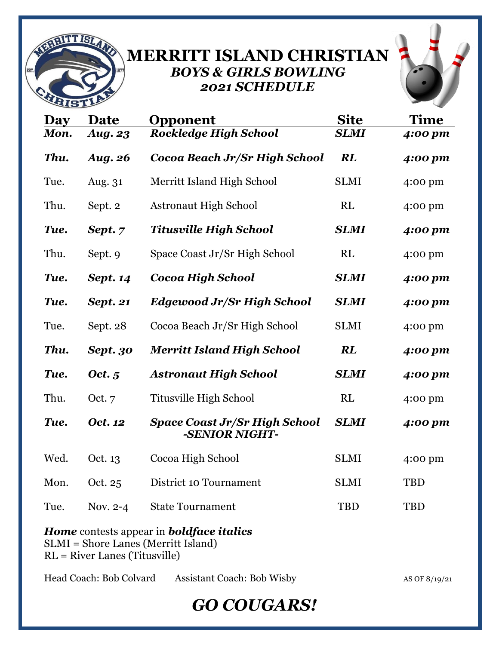

## **MERRITT ISLAND CHRISTIAN** *BOYS & GIRLS BOWLING 2021 SCHEDULE*



| <b>Day</b>                                                                                                                       | Date            | Opponent                                               | <b>Site</b> | Time       |
|----------------------------------------------------------------------------------------------------------------------------------|-----------------|--------------------------------------------------------|-------------|------------|
| Mon.                                                                                                                             | <b>Aug. 23</b>  | <b>Rockledge High School</b>                           | <b>SLMI</b> | 4:00 pm    |
| Thu.                                                                                                                             | <b>Aug. 26</b>  | Cocoa Beach Jr/Sr High School                          | <b>RL</b>   | 4:00 pm    |
| Tue.                                                                                                                             | Aug. 31         | Merritt Island High School                             | <b>SLMI</b> | 4:00 pm    |
| Thu.                                                                                                                             | Sept. 2         | <b>Astronaut High School</b>                           | RL          | 4:00 pm    |
| Tue.                                                                                                                             | Sept. 7         | <b>Titusville High School</b>                          | <b>SLMI</b> | 4:00 pm    |
| Thu.                                                                                                                             | Sept. 9         | Space Coast Jr/Sr High School                          | RL          | 4:00 pm    |
| Tue.                                                                                                                             | <b>Sept. 14</b> | Cocoa High School                                      | <b>SLMI</b> | 4:00 pm    |
| Tue.                                                                                                                             | <b>Sept. 21</b> | <b>Edgewood Jr/Sr High School</b>                      | <b>SLMI</b> | 4:00 pm    |
| Tue.                                                                                                                             | Sept. 28        | Cocoa Beach Jr/Sr High School                          | <b>SLMI</b> | 4:00 pm    |
| Thu.                                                                                                                             | Sept. 30        | <b>Merritt Island High School</b>                      | <b>RL</b>   | 4:00 pm    |
| Tue.                                                                                                                             | Oct. 5          | <b>Astronaut High School</b>                           | <b>SLMI</b> | 4:00 pm    |
| Thu.                                                                                                                             | Oct. $7$        | Titusville High School                                 | RL          | 4:00 pm    |
| Tue.                                                                                                                             | Oct. 12         | <b>Space Coast Jr/Sr High School</b><br>-SENIOR NIGHT- | <b>SLMI</b> | 4:00 pm    |
| Wed.                                                                                                                             | Oct. 13         | Cocoa High School                                      | <b>SLMI</b> | 4:00 pm    |
| Mon.                                                                                                                             | Oct. 25         | District 10 Tournament                                 | <b>SLMI</b> | <b>TBD</b> |
| Tue.                                                                                                                             | Nov. $2-4$      | <b>State Tournament</b>                                | <b>TBD</b>  | <b>TBD</b> |
| <b>Home</b> contests appear in <b>boldface italics</b><br>SLMI = Shore Lanes (Merritt Island)<br>$RL = River$ Lanes (Titusville) |                 |                                                        |             |            |

Head Coach: Bob Colvard Assistant Coach: Bob Wisby AS OF 8/19/21

## *GO COUGARS!*